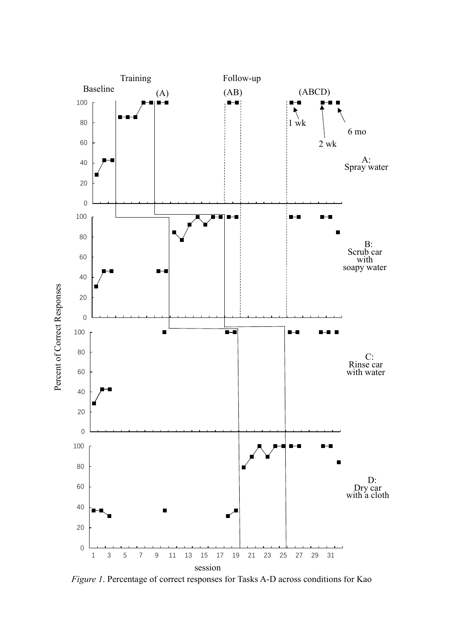

*Figure 1*. Percentage of correct responses for Tasks A-D across conditions for Kao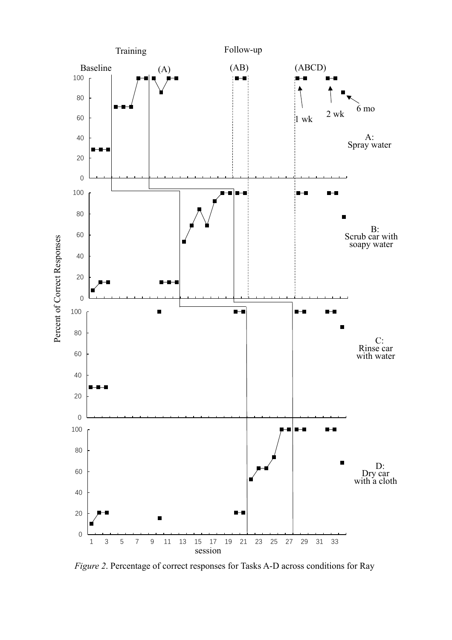

*Figure 2*. Percentage of correct responses for Tasks A-D across conditions for Ray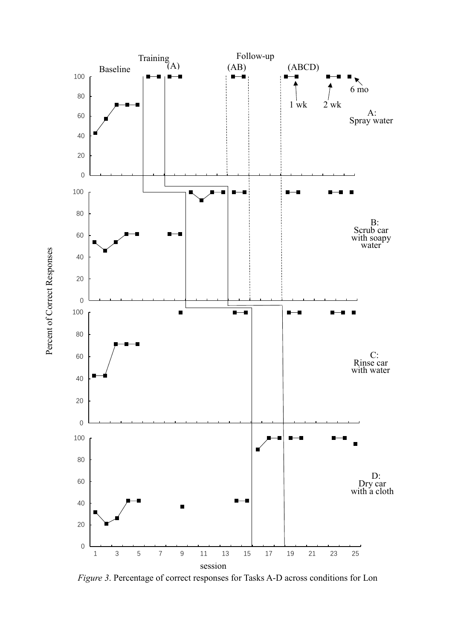

*Figure 3*. Percentage of correct responses for Tasks A-D across conditions for Lon